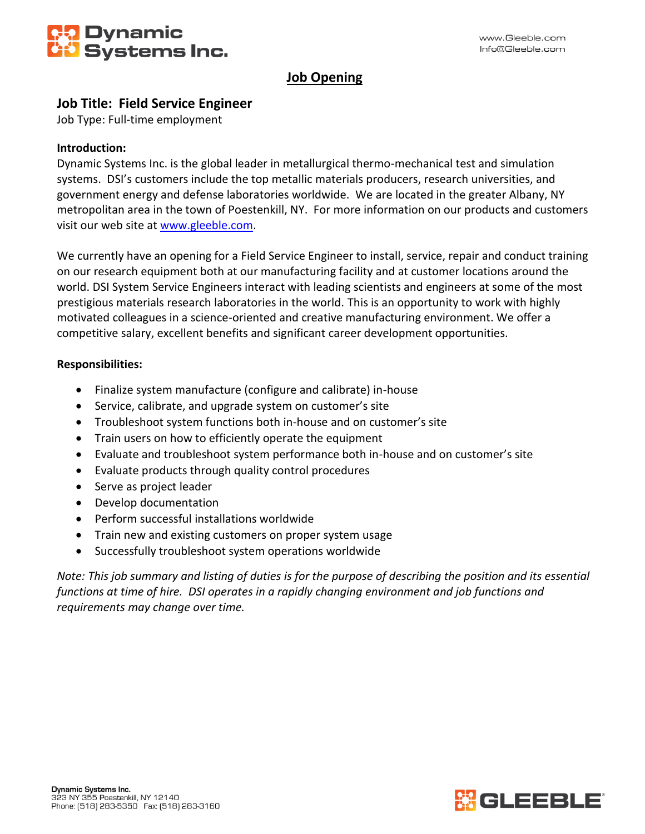

# **Job Opening**

## **Job Title: Field Service Engineer**

Job Type: Full-time employment

### **Introduction:**

Dynamic Systems Inc. is the global leader in metallurgical thermo-mechanical test and simulation systems. DSI's customers include the top metallic materials producers, research universities, and government energy and defense laboratories worldwide. We are located in the greater Albany, NY metropolitan area in the town of Poestenkill, NY. For more information on our products and customers visit our web site at [www.gleeble.com.](http://www.gleeble.com/)

We currently have an opening for a Field Service Engineer to install, service, repair and conduct training on our research equipment both at our manufacturing facility and at customer locations around the world. DSI System Service Engineers interact with leading scientists and engineers at some of the most prestigious materials research laboratories in the world. This is an opportunity to work with highly motivated colleagues in a science-oriented and creative manufacturing environment. We offer a competitive salary, excellent benefits and significant career development opportunities.

### **Responsibilities:**

- Finalize system manufacture (configure and calibrate) in-house
- Service, calibrate, and upgrade system on customer's site
- Troubleshoot system functions both in-house and on customer's site
- Train users on how to efficiently operate the equipment
- Evaluate and troubleshoot system performance both in-house and on customer's site
- Evaluate products through quality control procedures
- Serve as project leader
- Develop documentation
- Perform successful installations worldwide
- Train new and existing customers on proper system usage
- Successfully troubleshoot system operations worldwide

*Note: This job summary and listing of duties is for the purpose of describing the position and its essential functions at time of hire. DSI operates in a rapidly changing environment and job functions and requirements may change over time.*